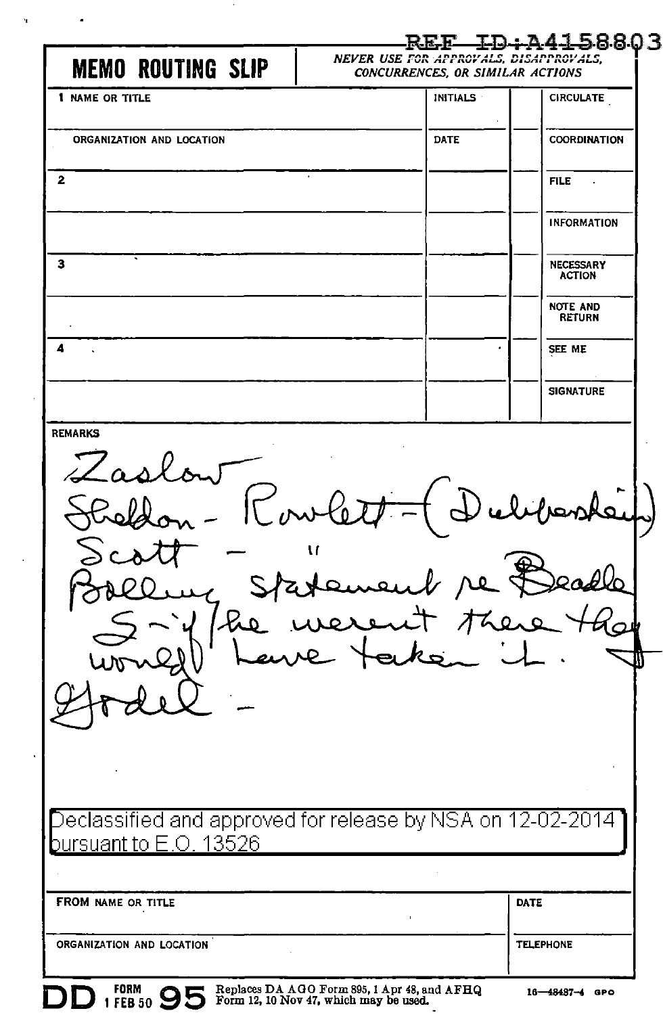|                                                                                            |                                                                            | <u>REF ID:A4158803</u>           |
|--------------------------------------------------------------------------------------------|----------------------------------------------------------------------------|----------------------------------|
| <b>MEMO ROUTING SLIP</b>                                                                   | NEVER USE FOR APPROVALS, DISAPPROVALS,<br>CONCURRENCES, OR SIMILAR ACTIONS |                                  |
| 1 NAME OR TITLE                                                                            | <b>INITIALS</b>                                                            | <b>CIRCULATE</b>                 |
| ORGANIZATION AND LOCATION                                                                  | DATE                                                                       | COORDINATION                     |
| 2                                                                                          |                                                                            | <b>FILE</b><br>$\mathcal{A}$     |
|                                                                                            |                                                                            | <b>INFORMATION</b>               |
| з                                                                                          |                                                                            | NECESSARY<br><b>ACTION</b>       |
|                                                                                            |                                                                            | <b>NOTE AND</b><br><b>RETURN</b> |
| 4                                                                                          |                                                                            | SEE ME                           |
|                                                                                            |                                                                            | <b>SIGNATURE</b>                 |
| Zaslow<br>Rowlet                                                                           | ement re Bead<br>event there to<br>- taken it.                             | deliberate                       |
| $\Box$ eclassified and approved for release by NSA on 12-02-2014<br>bursuant to E.O. 13526 |                                                                            |                                  |
|                                                                                            |                                                                            |                                  |
| FROM NAME OR TITLE                                                                         |                                                                            | DATE                             |
| ORGANIZATION AND LOCATION                                                                  |                                                                            | <b>TELEPHONE</b>                 |
|                                                                                            |                                                                            |                                  |

 $\sim$ 

 $\alpha$  and  $\alpha$  and  $\alpha$ 

 $\bar{z}$ 

 $\sim 10^{-11}$ 

 $\ddot{\phantom{a}}$ 

Replaces DA AGO Form 895, 1 Apr 48, and AFHQ Form 12, 10 Nov 47, which may be used.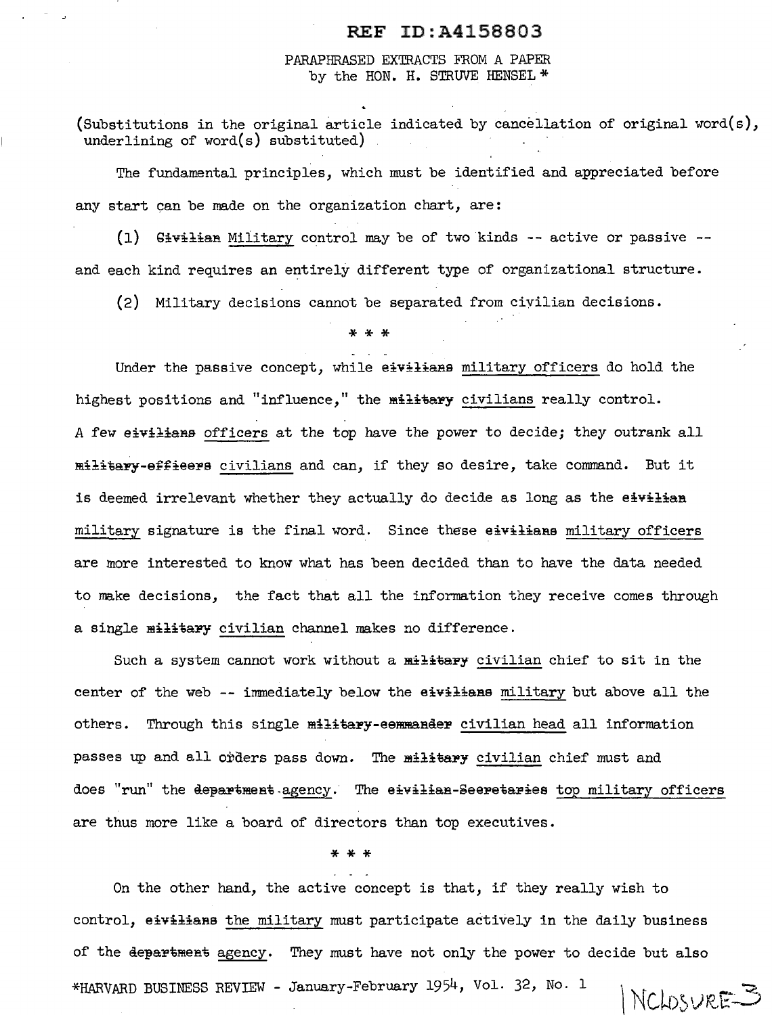## REF ID:A4158803

PARAPHRASED EXTRACTS FROM A PAPER by the HON. H. STRUVE HENSEL \*

(Substitutions in the original article indicated by cancellation of original word(s), underlining of word(s) substituted)

The fundamental principles, which must be identified and appreciated before any start can be made on the organization chart, are:

 $(1)$  Givilian Military control may be of two kinds -- active or passive -and each kind requires an entirely different type of organizational structure.

(2) Military decisions cannot be separated from ciyilian decisions.

\*\*\*

Under the passive concept, while eivilians military officers do hold the highest positions and "influence," the military civilians really control. A few eivilians officers at the top have the power to decide; they outrank all militapY-effieepe civilians and can, if they so desire, take command. But it is deemed irrelevant whether they actually do decide as long as the eivilian military signature is the final word. Since these eivilians military officers are more interested to know what has been decided than to have the data needed to make decisions, the fact that all the information they receive comes through a single military civilian channel makes no difference.

Such a system cannot work without a military civilian chief to sit in the center of the web -- immediately below the eivilians military but above all the others. Through this single military-eemmander civilian head all information passes up and all orders pass down. The military civilian chief must and does "run" the department agency. The eivilian-Seeretaries top military officers are thus more like a board of directors than top executives.

# \*\*\*

On the other hand, the active concept is that, if they really wish to control, eivilians the military must participate actively in the daily business of the department agency. They must have not only the power to decide but also \*HARVARD BUSINESS REVIEW - January-February 1954, Vol. 32, No. 1 NCLOSURE<sup>3</sup>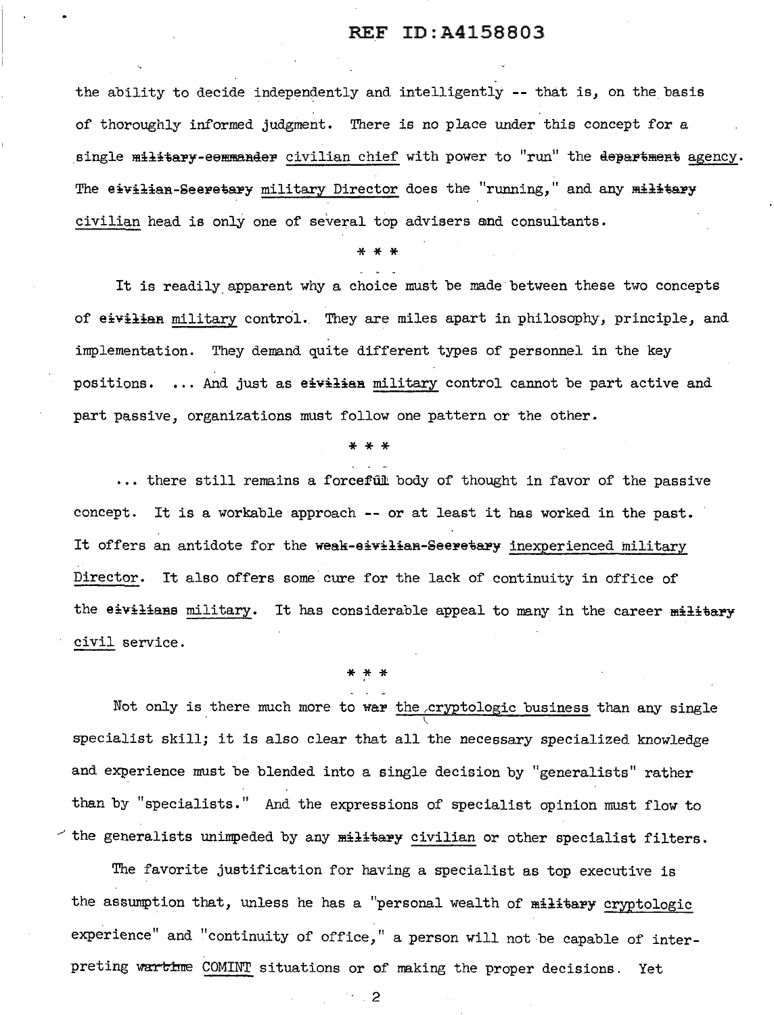### REF ID:A4158803

the ability to decide independently and intelligently -- that is, on the basis of thoroughly informed judgment. There is no place under this concept for a single military-eemmander civilian chief with power to "run" the department agency. The eivilian-Seeretary military Director does the "running," and any military civilian head is only one of several top advisers and consultants.

\* \* \*

It is readily apparent why a choice must be made between these two concepts of eivilian military control. They are miles apart in philosophy, principle, and implementation. They demand quite different types of personnel in the key positions. ... And just as eivilian military control cannot be part active and part passive, organizations must follow one pattern or the other.

\*\*\*

... there still remains a forceful body of thought in favor of the passive concept. It is a workable approach -- or at least it has worked in the past. It offers an antidote for the weak-eivilian-Seeretary inexperienced military Director. It also offers some cure for the lack of continuity in office of the eivilians military. It has considerable appeal to many in the career military civil service.

\* \* \*

Not only is there much more to war the cryptologic business than any single specialist skill; it is also clear that all the necessary specialized knowledge and experience must be blended into a single decision by "generalists" rather than by "specialists." And the expressions of specialist opinion must flow to  $\sim$  the generalists unimpeded by any military civilian or other specialist filters.

The favorite justification for having a specialist as top executive is the assumption that, unless he has a "personal wealth of military cryptologic experience" and "continuity of office," a person will not be capable of interpreting wartime COMINT situations or of making the proper decisions. Yet

2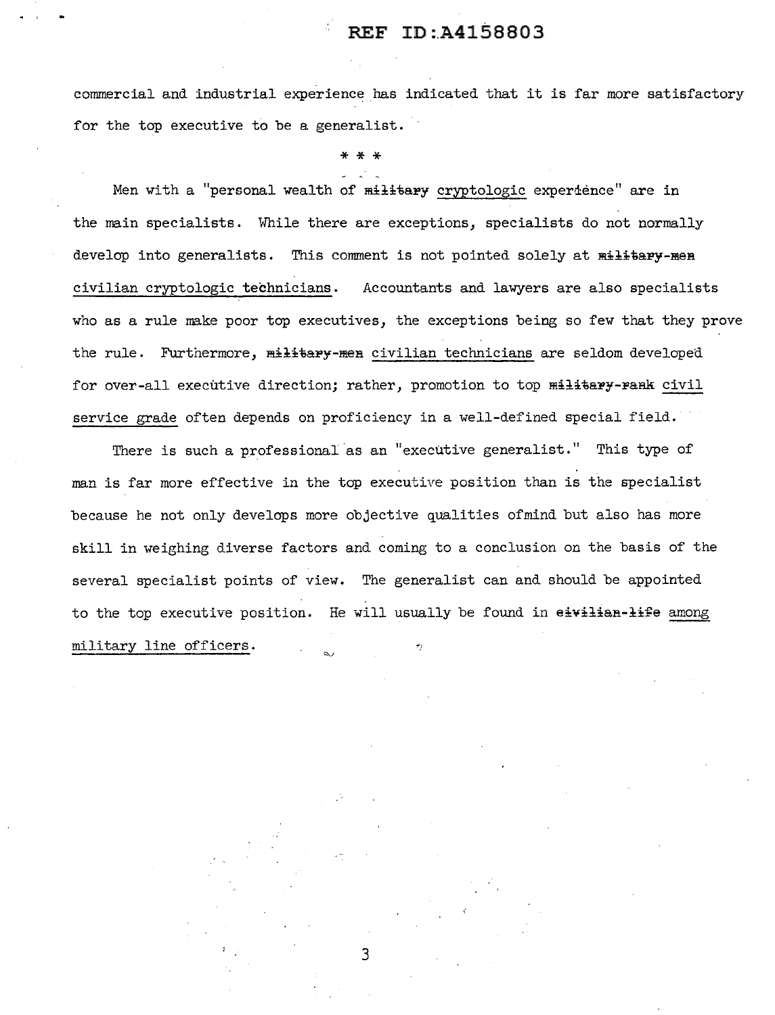## REF ID:A4158803

commercial and industrial experience has indicated that it is far more satisfactory for the top executive to be a generalist.

\* \* \*

Men with a "personal wealth of military cryptologic experdence" are in the main specialists. While there are exceptions, specialists do not normally develop into generalists. This comment is not pointed solely at military-men civilian cryptologic technicians. Accountants and lawyers are also specialists who as a rule make poor top executives, the exceptions being so few that they prove the rule. Furthermore, military-men civilian technicians are seldom developed for over-all executive direction; rather, promotion to top military-rank civil service grade often depends on proficiency in a well-defined special field.

There is such a professional as an "executive generalist." This type of man is far more effective in the top executive position than is the specialist because he not only develops more objective qualities ofmind but also has more skill in weighing diverse factors and coming to a conclusion on the basis of the several specialist points of view. The generalist can and should be appointed to the top executive position. He will usually be found in eivilian-life among military line officers.

3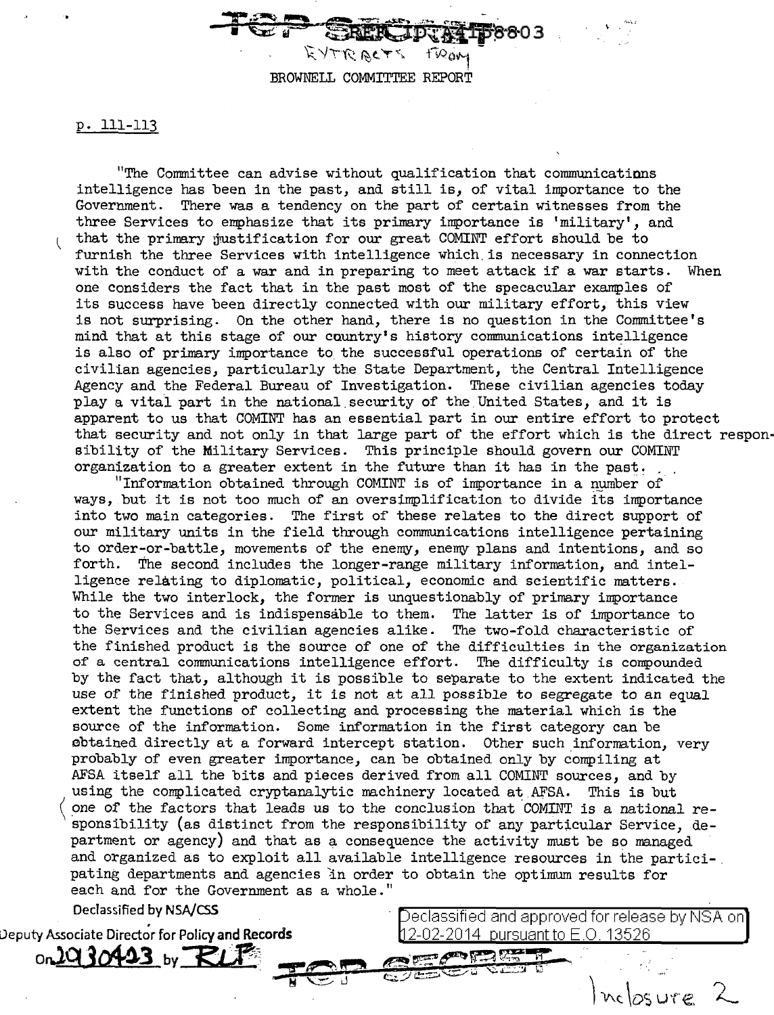BROWNELL COMMITTEE REPORT

 $-$ TOP  $\frac{1}{\sqrt{2}}$   $\frac{1}{\sqrt{2}}$ 

p. 111-113

"The Connnittee can advise without qualification that communications intelligence has been in the past, and still is, of vital importance to the Government. There was a tendency on the part of certain witnesses from the three Services to emphasize that its primary importance is 'military', and that the primary justification for our great COMINT effort should be to furnish the three Services with intelligence which.is necessary in connection with the conduct of a war and in preparing to meet attack if a war starts. When one considers the fact that in the past most of the specacular examples of its success have been directly connected with our military effort, this view is not surprising. On the other hand, there is no question in the Committee's mind that at this stage of our country's history communications intelligence is also of primary importance to the successful operations of certain of the civilian agencies, particularly the State Department, the Central Intelligence Agency and the Federal Bureau of Investigation. These civilian agencies today play a vital part in the national. security of the. United States, and it is apparent to us that COMINT has an essential part in our entire effort to protect that security and not only in that large part of the effort which is the direct responsibility of the Military Services. This principle should govern our COMINT organization to a greater extent in the future than it has in the past. organization to a greater extent in the future than it has in the past.<br>"Information obtained through COMINT is of importance in a number of

ways, but it is not too much of an oversimplification to divide its importance into two main categories. The first of these relates to the direct support of our military units in the field through communications intelligence pertaining to order-or-battle, movements of the enemy, enemy plans and intentions, and so forth. The second includes the longer-range military information, and intelligence relating to diplomatic, political, economic and scientific matters. While the two interlock, the former is unquestionably of primary importance to the Services and is indispensable to them. The latter is of importance to the Services and the civilian agencies alike. The two-fold characteristic of the finished product is the source of one of the difficulties in the organization of a central communications intelligence effort. The difficulty is compounded by the fact that, although it is possible to separate to the extent indicated the use of the finished product, it is not at all possible to segregate to an equal extent the functions of collecting and processing the material which is the source of the information. Some information in the first category can be ebtained directly at a forward intercept station. Other such information, very probably of even greater importance, can be obtained only by compiling at AFSA itself all the bits and pieces derived from all COMINT sources, and by using the complicated cryptanalytic machinery located at AFSA. This is but one of the factors that leads us to the conclusion that COMINT is a national responsibility {as distinct from the responsibility of any particular Service, department or agency) and that as a consequence the activity must be so managed and organized as to exploit all available intelligence resources in the partici-. pating departments and agencies in order to obtain the optimum results for each and for the Government as a whole."

eclassified and approved for release by NSA on

nclosure

12-02-2014 pursuant to E.O. 13526

ara ta

 $- 707$ 

Declassified by NSA/C55

Deputy Associate Director for Policy and Records on**JQ30423** by RLP